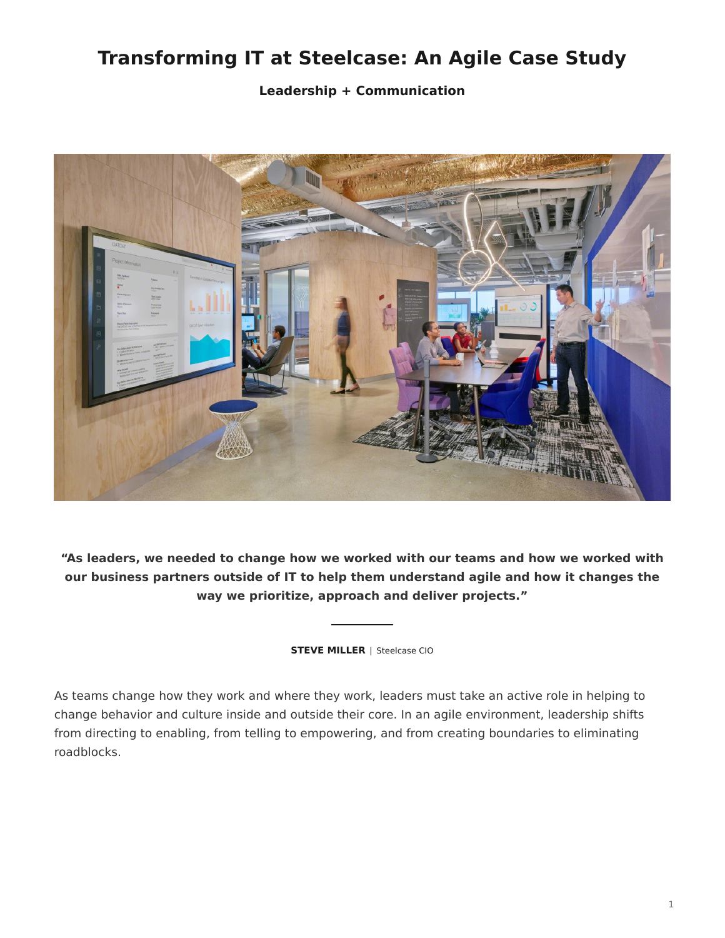# **Transforming IT at Steelcase: An Agile Case Study**

**Leadership + Communication**



**"As leaders, we needed to change how we worked with our teams and how we worked with our business partners outside of IT to help them understand agile and how it changes the way we prioritize, approach and deliver projects."**

**STEVE MILLER** | Steelcase CIO

As teams change how they work and where they work, leaders must take an active role in helping to change behavior and culture inside and outside their core. In an agile environment, leadership shifts from directing to enabling, from telling to empowering, and from creating boundaries to eliminating roadblocks.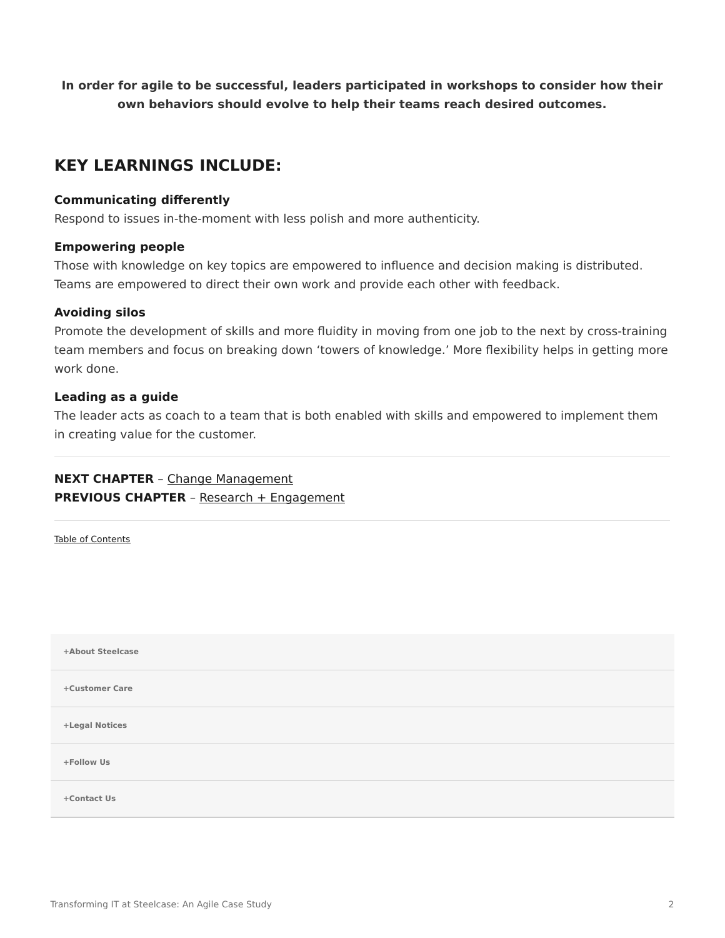**In order for agile to be successful, leaders participated in workshops to consider how their own behaviors should evolve to help their teams reach desired outcomes.**

## **KEY LEARNINGS INCLUDE:**

#### **Communicating differently**

Respond to issues in-the-moment with less polish and more authenticity.

#### **Empowering people**

Those with knowledge on key topics are empowered to influence and decision making is distributed. Teams are empowered to direct their own work and provide each other with feedback.

#### **Avoiding silos**

Promote the development of skills and more fluidity in moving from one job to the next by cross-training team members and focus on breaking down 'towers of knowledge.' More flexibility helps in getting more work done.

#### **Leading as a guide**

The leader acts as coach to a team that is both enabled with skills and empowered to implement them in creating value for the customer.

### **NEXT CHAPTER** – [Change Management](https://www.steelcase.com/eu-en/research/articles/agile-case-study-change-management/) **PREVIOUS CHAPTER** – [Research + Engagement](https://www.steelcase.com/eu-en/research/articles/agile-case-study-research-engagement/)

[Table of Contents](https://www.steelcase.com/eu-en/research/articles/topics/agile/agile-case-study/)

| +About Steelcase |  |
|------------------|--|
| +Customer Care   |  |
| +Legal Notices   |  |
| +Follow Us       |  |
| +Contact Us      |  |